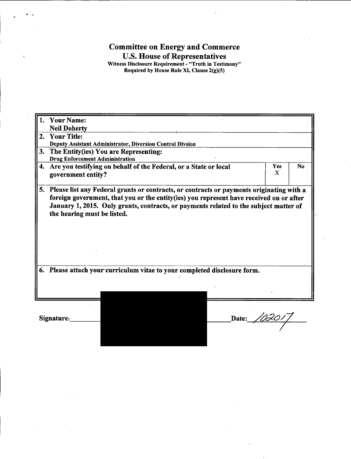## **Committee on Energy and Commerce** U.S. House of Representatives<br>Witness Disclosure Requirement - "Truth in Testimony"<br>Required by House Rule XI, Clause 2(g)(5)

|    | <b>Your Name:</b><br>1.                                                                                                                                                                                                                                                                                                                                                               |                            |                |  |
|----|---------------------------------------------------------------------------------------------------------------------------------------------------------------------------------------------------------------------------------------------------------------------------------------------------------------------------------------------------------------------------------------|----------------------------|----------------|--|
|    | <b>Neil Doherty</b>                                                                                                                                                                                                                                                                                                                                                                   |                            |                |  |
| 2. | <b>Your Title:</b>                                                                                                                                                                                                                                                                                                                                                                    |                            |                |  |
|    | Deputy Assistant Administrator, Diversion Control Divsion                                                                                                                                                                                                                                                                                                                             |                            |                |  |
| 3. | The Entity(ies) You are Representing:<br><b>Drug Enforcement Administration</b>                                                                                                                                                                                                                                                                                                       |                            |                |  |
| 4. | Are you testifying on behalf of the Federal, or a State or local<br>government entity?                                                                                                                                                                                                                                                                                                | <b>Yes</b><br>$\mathbf{X}$ | N <sub>o</sub> |  |
| 5. | Please list any Federal grants or contracts, or contracts or payments originating with a<br>foreign government, that you or the entity(ies) you represent have received on or after<br>January 1, 2015. Only grants, contracts, or payments related to the subject matter of<br>the hearing must be listed.<br>Please attach your curriculum vitae to your completed disclosure form. |                            |                |  |
|    |                                                                                                                                                                                                                                                                                                                                                                                       |                            |                |  |